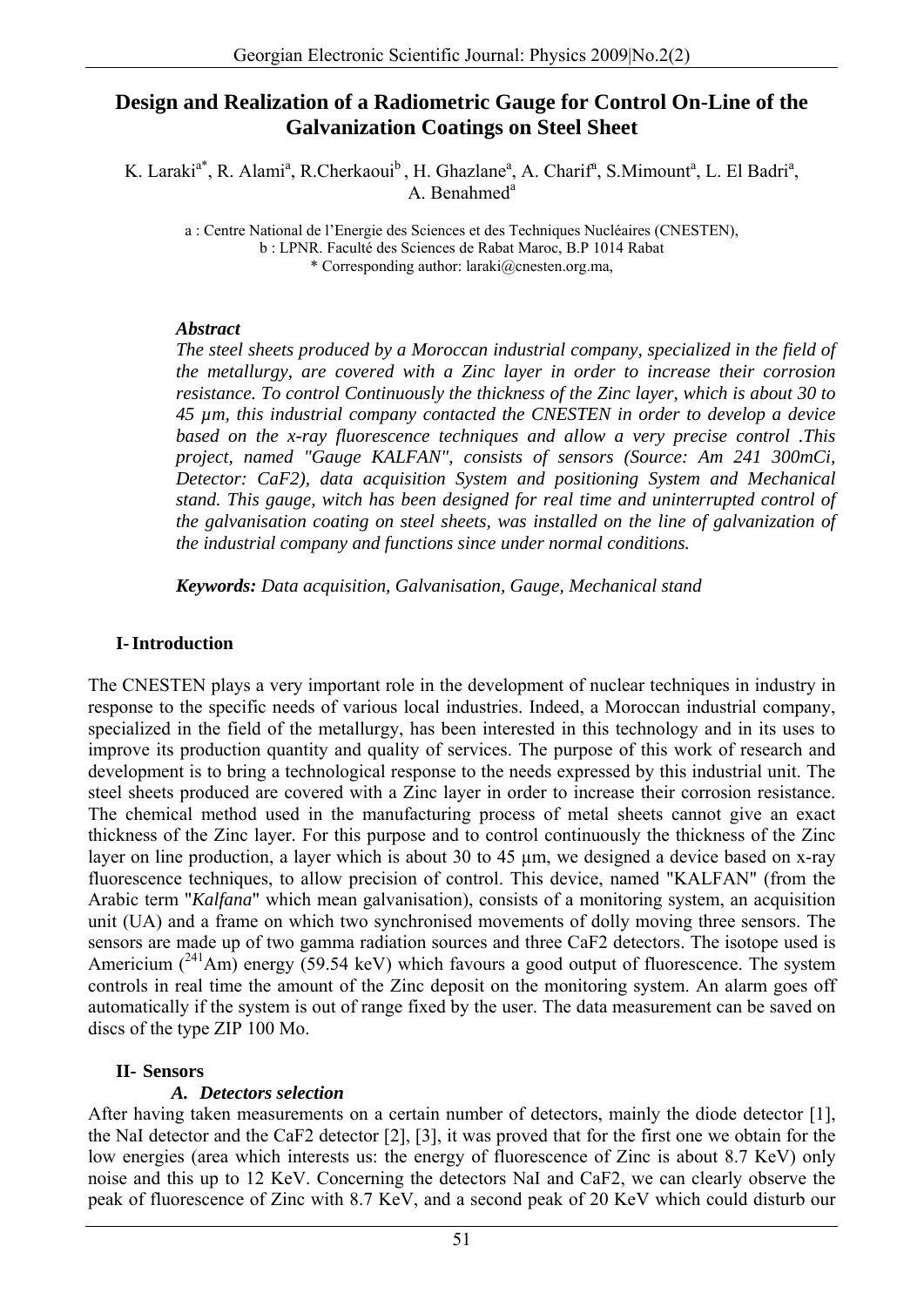# **Design and Realization of a Radiometric Gauge for Control On-Line of the Galvanization Coatings on Steel Sheet**

K. Laraki<sup>a\*</sup>, R. Alami<sup>a</sup>, R.Cherkaoui<sup>b</sup>, H. Ghazlane<sup>a</sup>, A. Charif<sup>a</sup>, S.Mimount<sup>a</sup>, L. El Badri<sup>a</sup>, A. Benahmed<sup>a</sup>

a : Centre National de l'Energie des Sciences et des Techniques Nucléaires (CNESTEN), b : LPNR. Faculté des Sciences de Rabat Maroc, B.P 1014 Rabat \* Corresponding author: laraki@cnesten.org.ma,

#### *Abstract*

*The steel sheets produced by a Moroccan industrial company, specialized in the field of the metallurgy, are covered with a Zinc layer in order to increase their corrosion resistance. To control Continuously the thickness of the Zinc layer, which is about 30 to 45 µm, this industrial company contacted the CNESTEN in order to develop a device based on the x-ray fluorescence techniques and allow a very precise control .This project, named "Gauge KALFAN", consists of sensors (Source: Am 241 300mCi, Detector: CaF2), data acquisition System and positioning System and Mechanical stand. This gauge, witch has been designed for real time and uninterrupted control of the galvanisation coating on steel sheets, was installed on the line of galvanization of the industrial company and functions since under normal conditions.* 

*Keywords: Data acquisition, Galvanisation, Gauge, Mechanical stand* 

## **I-Introduction**

The CNESTEN plays a very important role in the development of nuclear techniques in industry in response to the specific needs of various local industries. Indeed, a Moroccan industrial company, specialized in the field of the metallurgy, has been interested in this technology and in its uses to improve its production quantity and quality of services. The purpose of this work of research and development is to bring a technological response to the needs expressed by this industrial unit. The steel sheets produced are covered with a Zinc layer in order to increase their corrosion resistance. The chemical method used in the manufacturing process of metal sheets cannot give an exact thickness of the Zinc layer. For this purpose and to control continuously the thickness of the Zinc layer on line production, a layer which is about 30 to 45 µm, we designed a device based on x-ray fluorescence techniques, to allow precision of control. This device, named "KALFAN" (from the Arabic term "*Kalfana*" which mean galvanisation), consists of a monitoring system, an acquisition unit (UA) and a frame on which two synchronised movements of dolly moving three sensors. The sensors are made up of two gamma radiation sources and three CaF2 detectors. The isotope used is Americium  $(^{241}Am)$  energy (59.54 keV) which favours a good output of fluorescence. The system controls in real time the amount of the Zinc deposit on the monitoring system. An alarm goes off automatically if the system is out of range fixed by the user. The data measurement can be saved on discs of the type ZIP 100 Mo.

#### **II- Sensors**

## *A. Detectors selection*

After having taken measurements on a certain number of detectors, mainly the diode detector [1], the NaI detector and the CaF2 detector [2], [3], it was proved that for the first one we obtain for the low energies (area which interests us: the energy of fluorescence of Zinc is about 8.7 KeV) only noise and this up to 12 KeV. Concerning the detectors NaI and CaF2, we can clearly observe the peak of fluorescence of Zinc with 8.7 KeV, and a second peak of 20 KeV which could disturb our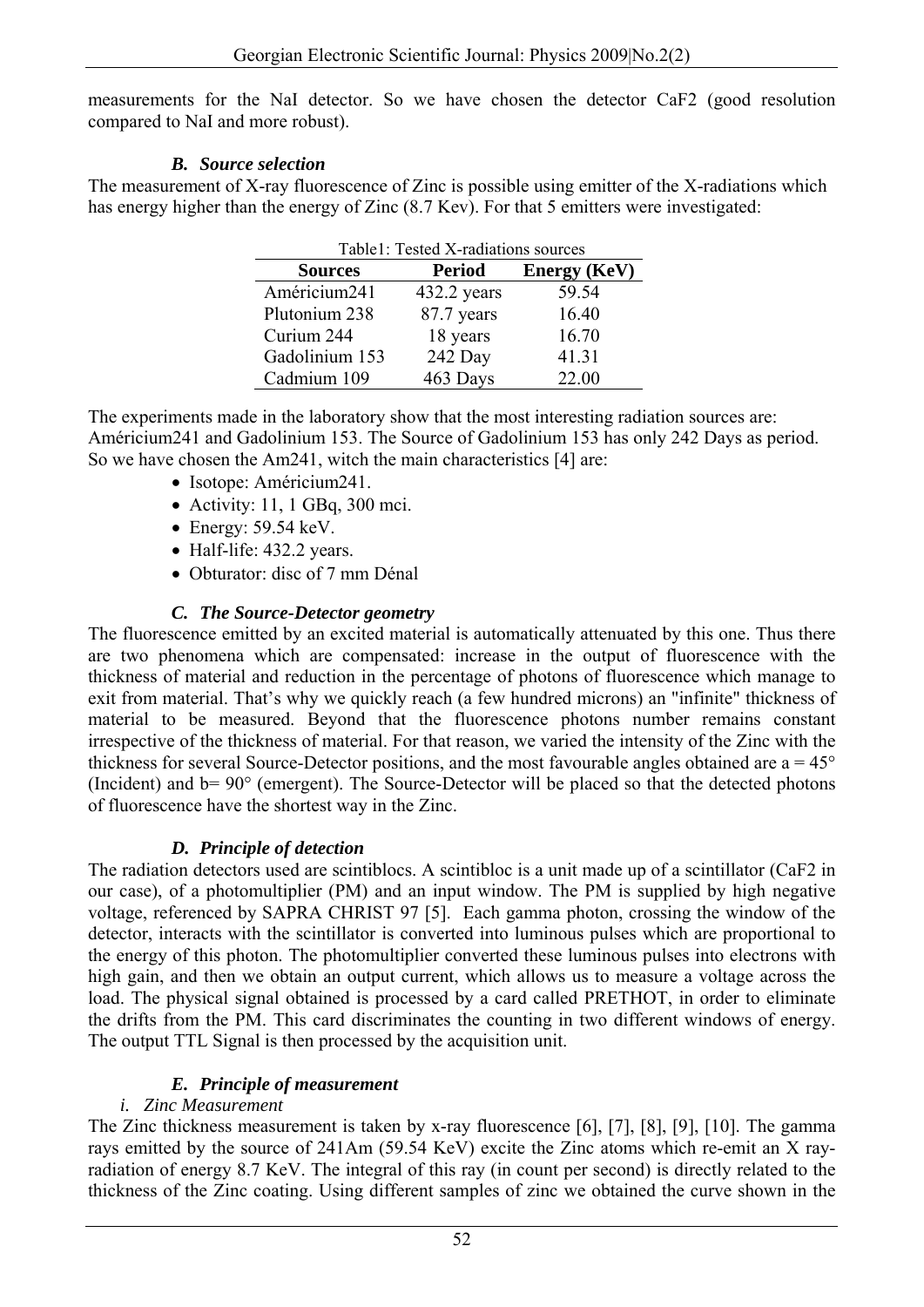measurements for the NaI detector. So we have chosen the detector CaF2 (good resolution compared to NaI and more robust).

## *B. Source selection*

The measurement of X-ray fluorescence of Zinc is possible using emitter of the X-radiations which has energy higher than the energy of Zinc  $(8.7 \text{ Kev})$ . For that 5 emitters were investigated:

| Table1: Tested X-radiations sources |               |                     |
|-------------------------------------|---------------|---------------------|
| <b>Sources</b>                      | <b>Period</b> | <b>Energy</b> (KeV) |
| Américium241                        | 432.2 years   | 59.54               |
| Plutonium 238                       | 87.7 years    | 16.40               |
| Curium 244                          | 18 years      | 16.70               |
| Gadolinium 153                      | 242 Day       | 41.31               |
| Cadmium 109                         | 463 Days      | 22.00               |

The experiments made in the laboratory show that the most interesting radiation sources are: Américium241 and Gadolinium 153. The Source of Gadolinium 153 has only 242 Days as period. So we have chosen the Am241, witch the main characteristics [4] are:

- Isotope: Américium241.
- Activity: 11, 1 GBq, 300 mci.
- Energy:  $59.54 \text{ keV}$ .
- Half-life: 432.2 years.
- Obturator: disc of 7 mm Dénal

## *C. The Source-Detector geometry*

The fluorescence emitted by an excited material is automatically attenuated by this one. Thus there are two phenomena which are compensated: increase in the output of fluorescence with the thickness of material and reduction in the percentage of photons of fluorescence which manage to exit from material. That's why we quickly reach (a few hundred microns) an "infinite" thickness of material to be measured. Beyond that the fluorescence photons number remains constant irrespective of the thickness of material. For that reason, we varied the intensity of the Zinc with the thickness for several Source-Detector positions, and the most favourable angles obtained are  $a = 45^\circ$ (Incident) and b= 90° (emergent). The Source-Detector will be placed so that the detected photons of fluorescence have the shortest way in the Zinc.

#### *D. Principle of detection*

The radiation detectors used are scintiblocs. A scintibloc is a unit made up of a scintillator (CaF2 in our case), of a photomultiplier (PM) and an input window. The PM is supplied by high negative voltage, referenced by SAPRA CHRIST 97 [5]. Each gamma photon, crossing the window of the detector, interacts with the scintillator is converted into luminous pulses which are proportional to the energy of this photon. The photomultiplier converted these luminous pulses into electrons with high gain, and then we obtain an output current, which allows us to measure a voltage across the load. The physical signal obtained is processed by a card called PRETHOT, in order to eliminate the drifts from the PM. This card discriminates the counting in two different windows of energy. The output TTL Signal is then processed by the acquisition unit.

## *E. Principle of measurement*

#### *i. Zinc Measurement*

The Zinc thickness measurement is taken by x-ray fluorescence [6], [7], [8], [9], [10]. The gamma rays emitted by the source of 241Am (59.54 KeV) excite the Zinc atoms which re-emit an X rayradiation of energy 8.7 KeV. The integral of this ray (in count per second) is directly related to the thickness of the Zinc coating. Using different samples of zinc we obtained the curve shown in the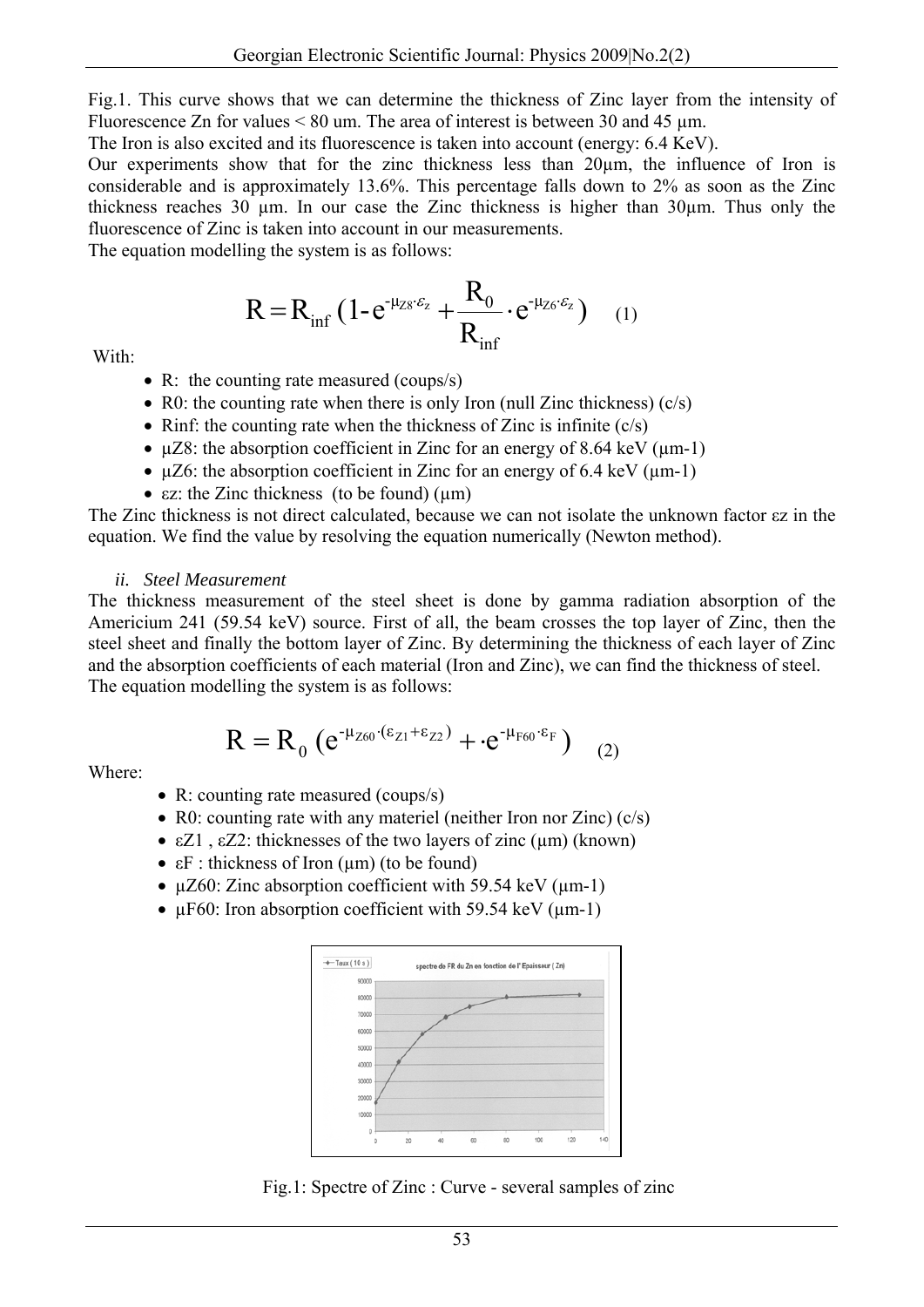Fig.1. This curve shows that we can determine the thickness of Zinc layer from the intensity of Fluorescence Zn for values  $\leq 80$  um. The area of interest is between 30 and 45 µm.

The Iron is also excited and its fluorescence is taken into account (energy: 6.4 KeV).

Our experiments show that for the zinc thickness less than 20µm, the influence of Iron is considerable and is approximately 13.6%. This percentage falls down to 2% as soon as the Zinc thickness reaches 30 µm. In our case the Zinc thickness is higher than 30µm. Thus only the fluorescence of Zinc is taken into account in our measurements.

The equation modelling the system is as follows:

$$
R = R_{\inf} \left( 1 - e^{-\mu_{Z8} \cdot \varepsilon_z} + \frac{R_0}{R_{\inf}} \cdot e^{-\mu_{Z6} \cdot \varepsilon_z} \right) \quad (1)
$$

With:

- R: the counting rate measured (coups/s)
- R0: the counting rate when there is only Iron (null Zinc thickness)  $(c/s)$
- Rinf: the counting rate when the thickness of Zinc is infinite  $(c/s)$
- $\mu$ Z8: the absorption coefficient in Zinc for an energy of 8.64 keV ( $\mu$ m-1)
- $\mu$ Z6: the absorption coefficient in Zinc for an energy of 6.4 keV ( $\mu$ m-1)
- $\epsilon$ z: the Zinc thickness (to be found) ( $\mu$ m)

The Zinc thickness is not direct calculated, because we can not isolate the unknown factor εz in the equation. We find the value by resolving the equation numerically (Newton method).

#### *ii. Steel Measurement*

The thickness measurement of the steel sheet is done by gamma radiation absorption of the Americium 241 (59.54 keV) source. First of all, the beam crosses the top layer of Zinc, then the steel sheet and finally the bottom layer of Zinc. By determining the thickness of each layer of Zinc and the absorption coefficients of each material (Iron and Zinc), we can find the thickness of steel. The equation modelling the system is as follows:

$$
R=R_{_0}\left(e^{\text{-}\mu_{Z60}\cdot(\epsilon_{Z1}+\epsilon_{Z2})}+\cdot e^{\text{-}\mu_{F60}\cdot\epsilon_{F}}\right)\quad \ \ \textbf{(2)}
$$

Where:

- R: counting rate measured (coups/s)
- R0: counting rate with any materiel (neither Iron nor Zinc) (c/s)
- $\epsilon Z1$ ,  $\epsilon Z2$ : thicknesses of the two layers of zinc (µm) (known)
- $\epsilon$ F : thickness of Iron ( $\mu$ m) (to be found)
- $\mu$ Z60: Zinc absorption coefficient with 59.54 keV ( $\mu$ m-1)
- $\mu$ F60: Iron absorption coefficient with 59.54 keV ( $\mu$ m-1)



Fig.1: Spectre of Zinc : Curve - several samples of zinc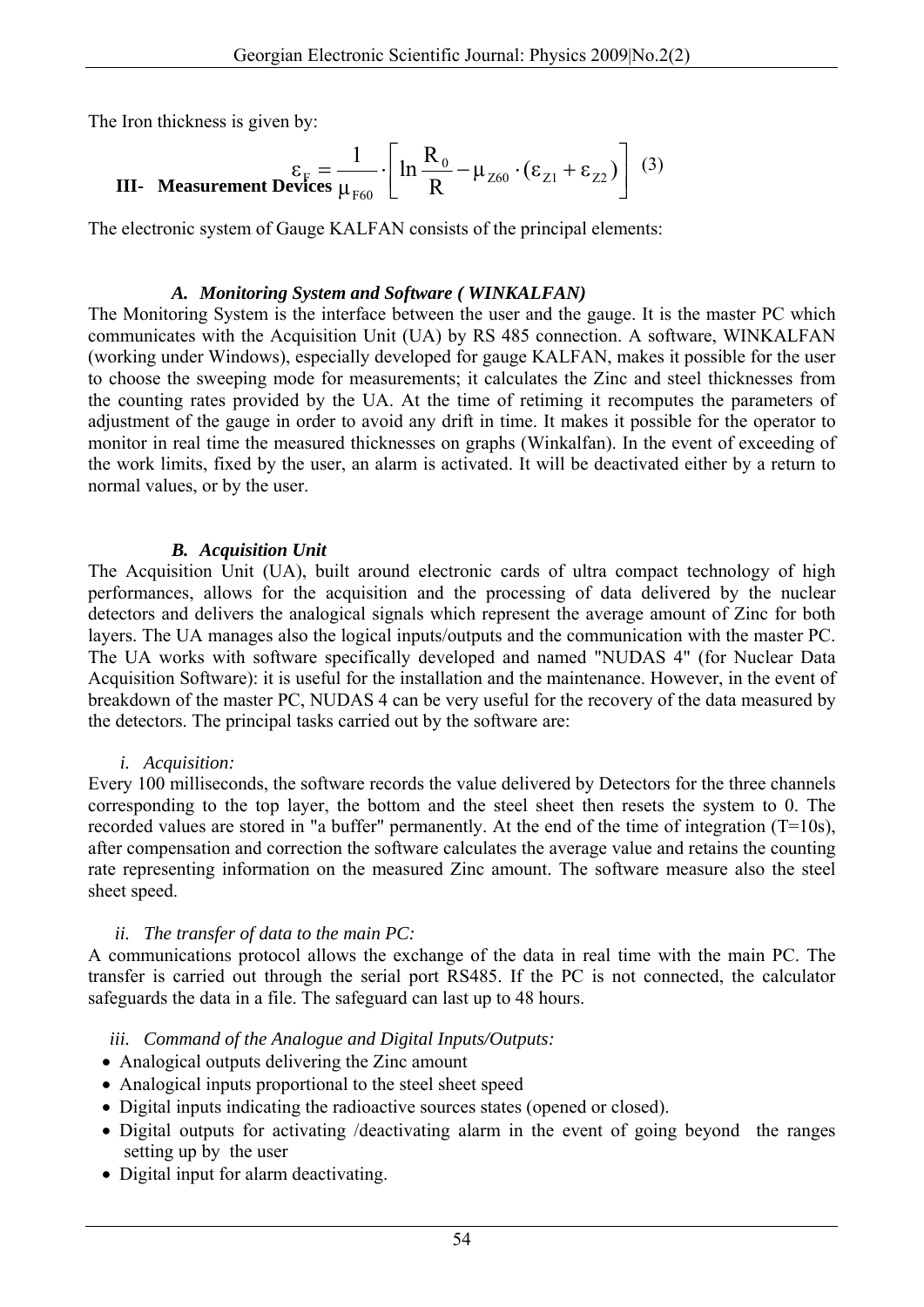The Iron thickness is given by:

III- Measurement Devices 
$$
\frac{\varepsilon_F}{\mu_{F60}} = \frac{1}{\ln \frac{R_0}{R}} - \mu_{Z60} \cdot (\varepsilon_{Z1} + \varepsilon_{Z2})
$$
 (3)

The electronic system of Gauge KALFAN consists of the principal elements:

#### *A. Monitoring System and Software ( WINKALFAN)*

The Monitoring System is the interface between the user and the gauge. It is the master PC which communicates with the Acquisition Unit (UA) by RS 485 connection. A software, WINKALFAN (working under Windows), especially developed for gauge KALFAN, makes it possible for the user to choose the sweeping mode for measurements; it calculates the Zinc and steel thicknesses from the counting rates provided by the UA. At the time of retiming it recomputes the parameters of adjustment of the gauge in order to avoid any drift in time. It makes it possible for the operator to monitor in real time the measured thicknesses on graphs (Winkalfan). In the event of exceeding of the work limits, fixed by the user, an alarm is activated. It will be deactivated either by a return to normal values, or by the user.

### *B. Acquisition Unit*

The Acquisition Unit (UA), built around electronic cards of ultra compact technology of high performances, allows for the acquisition and the processing of data delivered by the nuclear detectors and delivers the analogical signals which represent the average amount of Zinc for both layers. The UA manages also the logical inputs/outputs and the communication with the master PC. The UA works with software specifically developed and named "NUDAS 4" (for Nuclear Data Acquisition Software): it is useful for the installation and the maintenance. However, in the event of breakdown of the master PC, NUDAS 4 can be very useful for the recovery of the data measured by the detectors. The principal tasks carried out by the software are:

#### *i. Acquisition:*

Every 100 milliseconds, the software records the value delivered by Detectors for the three channels corresponding to the top layer, the bottom and the steel sheet then resets the system to 0. The recorded values are stored in "a buffer" permanently. At the end of the time of integration (T=10s), after compensation and correction the software calculates the average value and retains the counting rate representing information on the measured Zinc amount. The software measure also the steel sheet speed.

#### *ii. The transfer of data to the main PC:*

A communications protocol allows the exchange of the data in real time with the main PC. The transfer is carried out through the serial port RS485. If the PC is not connected, the calculator safeguards the data in a file. The safeguard can last up to 48 hours.

## *iii. Command of the Analogue and Digital Inputs/Outputs:*

- Analogical outputs delivering the Zinc amount
- Analogical inputs proportional to the steel sheet speed
- Digital inputs indicating the radioactive sources states (opened or closed).
- Digital outputs for activating /deactivating alarm in the event of going beyond the ranges setting up by the user
- Digital input for alarm deactivating.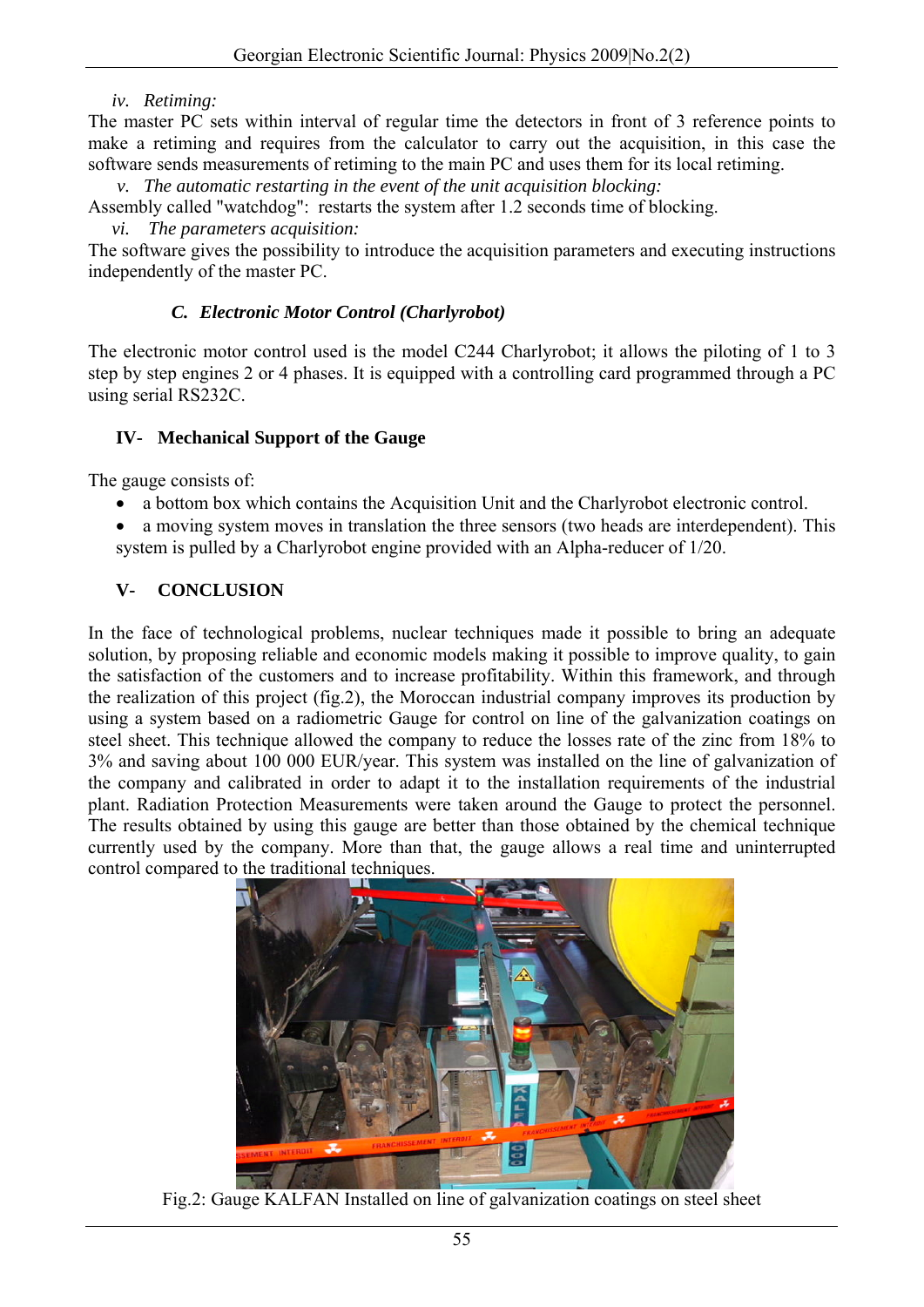#### *iv. Retiming:*

The master PC sets within interval of regular time the detectors in front of 3 reference points to make a retiming and requires from the calculator to carry out the acquisition, in this case the software sends measurements of retiming to the main PC and uses them for its local retiming.

*v. The automatic restarting in the event of the unit acquisition blocking:* 

Assembly called "watchdog": restarts the system after 1.2 seconds time of blocking.

*vi. The parameters acquisition:* 

The software gives the possibility to introduce the acquisition parameters and executing instructions independently of the master PC.

## *C. Electronic Motor Control (Charlyrobot)*

The electronic motor control used is the model C244 Charlyrobot; it allows the piloting of 1 to 3 step by step engines 2 or 4 phases. It is equipped with a controlling card programmed through a PC using serial RS232C.

### **IV- Mechanical Support of the Gauge**

The gauge consists of:

- a bottom box which contains the Acquisition Unit and the Charlyrobot electronic control.
- a moving system moves in translation the three sensors (two heads are interdependent). This system is pulled by a Charlyrobot engine provided with an Alpha-reducer of 1/20.

# **V- CONCLUSION**

In the face of technological problems, nuclear techniques made it possible to bring an adequate solution, by proposing reliable and economic models making it possible to improve quality, to gain the satisfaction of the customers and to increase profitability. Within this framework, and through the realization of this project (fig.2), the Moroccan industrial company improves its production by using a system based on a radiometric Gauge for control on line of the galvanization coatings on steel sheet. This technique allowed the company to reduce the losses rate of the zinc from 18% to 3% and saving about 100 000 EUR/year. This system was installed on the line of galvanization of the company and calibrated in order to adapt it to the installation requirements of the industrial plant. Radiation Protection Measurements were taken around the Gauge to protect the personnel. The results obtained by using this gauge are better than those obtained by the chemical technique currently used by the company. More than that, the gauge allows a real time and uninterrupted control compared to the traditional techniques.



Fig.2: Gauge KALFAN Installed on line of galvanization coatings on steel sheet